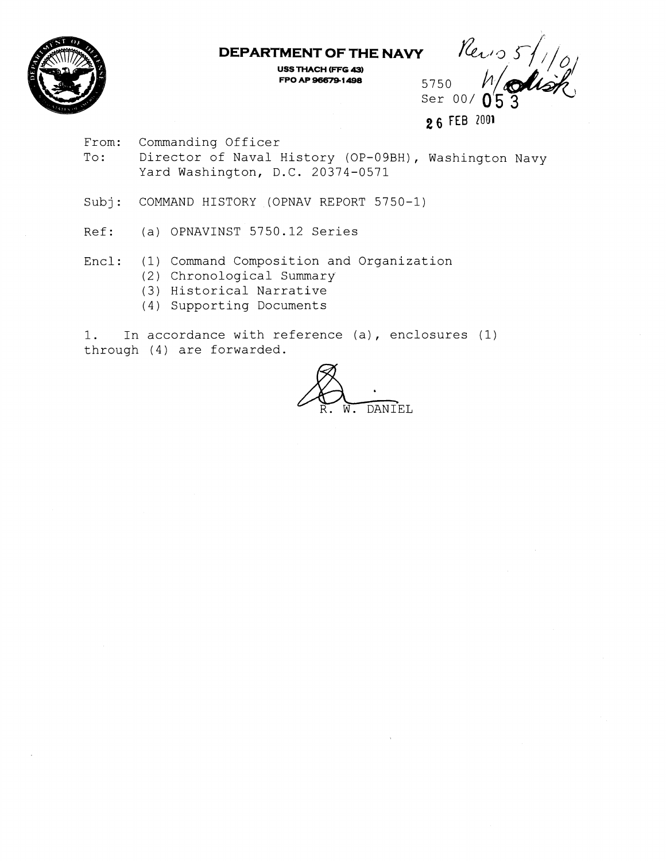

**DEPARTMENT OF THE NAVY** 

**USS THACH (FFG 43) FPO AF 96679 1 498** 

Perio 5/1/0 5750 Ser  $00/$ 

**2 6** FEB **<sup>2001</sup>**

From: Commanding Officer

To: Director of Naval History (OP-09BH), Washington Navy Yard Washington, D.C. 20374-0571

Subj: COMMAND HISTORY (OPNAV REPORT 5750-1)

Ref: (a) OPNAVINST 5750.12 Series

Encl: (1) Command Composition and Organization

- (2) Chronological Summary
- (3) Historical Narrative
- (4) Supporting Documents

1. In accordance with reference (a), enclosures (1) through (4) are forwarded.

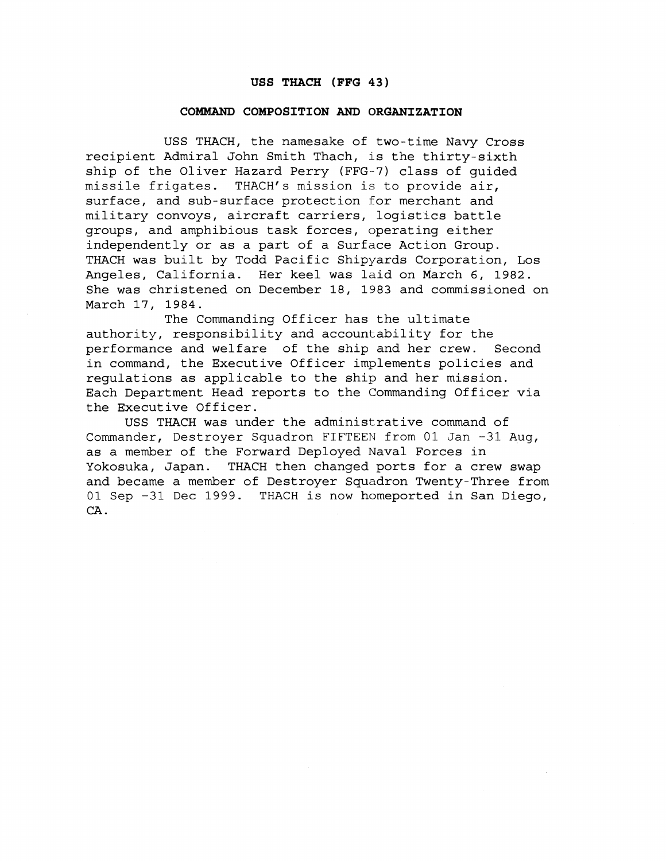#### **USS THACH (FFG 43)**

#### **COMMAND COMPOSITION AND ORGANIZATION**

USS THACH, the namesake of two-time Navy Cross recipient Admiral John Smith Thach, is the thirty-sixth ship of the Oliver Hazard Perry (FFG-7) class of guided missile frigates. THACH's mission is to provide air, surface, and sub-surface protection for merchant and military convoys, aircraft carriers, logistics battle groups, and amphibious task forces, operating either independently or as a part of a Surface Action Group. THACH was built by Todd Pacific Shipyards Corporation, Los Angeles, California. Her keel was laid on March **6,** 1982. She was christened on December 18, 1983 and commissioned on March 17, 1984.

The Commanding Officer has the ultimate authority, responsibility and accountability for the performance and welfare of the ship and her crew. Second in command, the Executive Officer implements policies and regulations as applicable to the ship and her mission. Each Department Head reports to the Commanding Officer via the Executive Officer.

USS THACH was under the administrative command of Commander, Destroyer Squadron FIFTEEN from 01 Jan -31 Aug, as a member of the Forward Deployed Naval Forces in Yokosuka, Japan. THACH then changed ports for a crew swap and became a member of Destroyer Squadron Twenty-Three from 01 Sep -31 Dec 1999. THACH is now homeported in San Diego, CA .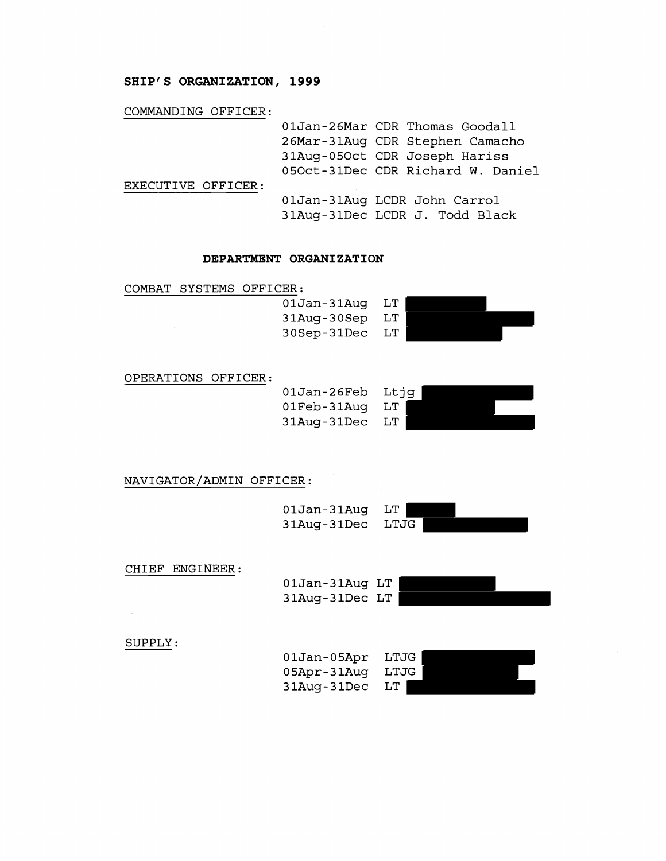## **SHIP'S ORGANIZATION, 1999**

### COMMANDING OFFICER:

|                    | 01Jan-26Mar CDR Thomas Goodall    |
|--------------------|-----------------------------------|
|                    | 26Mar-31Aug CDR Stephen Camacho   |
|                    | 31Aug-05Oct CDR Joseph Hariss     |
|                    | 050ct-31Dec CDR Richard W. Daniel |
| EXECUTIVE OFFICER: |                                   |
|                    | 01Jan-31Aug LCDR John Carrol      |
|                    | 31Aug-31Dec LCDR J. Todd Black    |
|                    |                                   |

### **DEPARTMENT ORGANIZATION**

COMBAT SYSTEMS OFFICER:

| 01Jan-31Auq | LT |
|-------------|----|
| 31Aug-30Sep | LT |
| 30Sep-31Dec | LT |



### OPERATIONS OFFICER:

OlJan-26Feb Ltjg OlFeb-31Aug LT 31Aug-31Dec LT



NAVIGATOR/ADMIN OFFICER:



### CHIEF ENGINEER:

OlJan-31Aug LT 31Aug-31Dec LT



SUPPLY:

| 01Jan-05Apr | LTJG |
|-------------|------|
| 05Apr-31Auq | LTJG |
| 31Aug-31Dec | LT   |

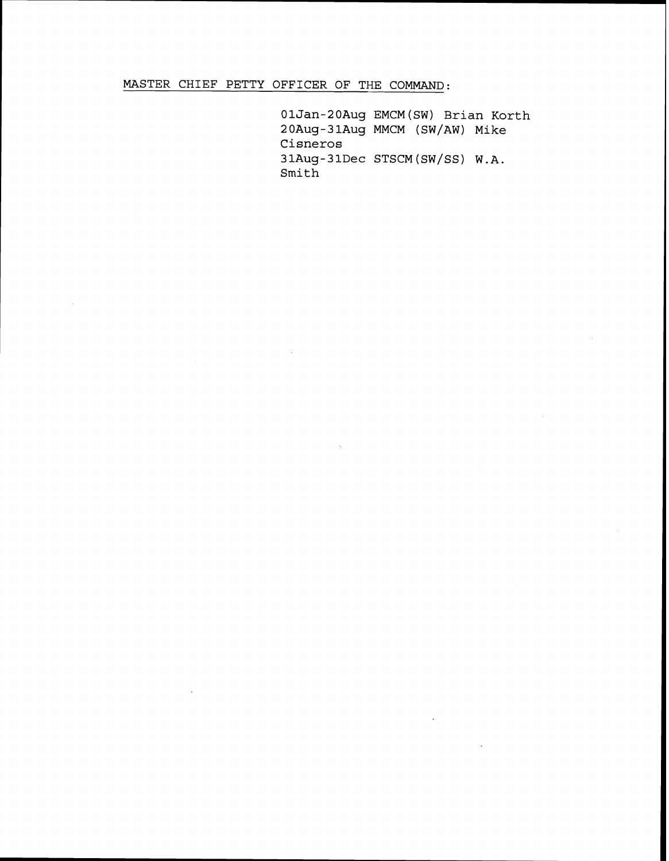**MASTER CHIEF PETTY OFFICER OF THE COMMAND:** 

**01Jan-20Aug EMCM(SW) Brian Korth 20Aug-3 1Aug MMCM (SW/AW) Mike Cisneros 31Aug-31Dec STSCM (sw/SS) W.A. Smith**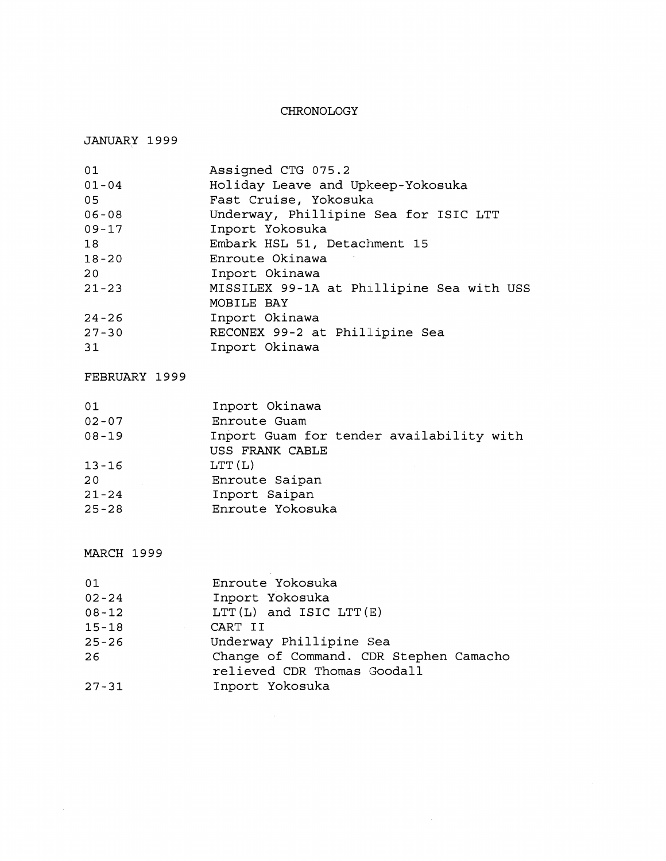# CHRONOLOGY

# JANUARY 1999

| 01        | Assigned CTG 075.2                        |
|-----------|-------------------------------------------|
| $01 - 04$ | Holiday Leave and Upkeep-Yokosuka         |
| 05        | Fast Cruise, Yokosuka                     |
| $06 - 08$ | Underway, Phillipine Sea for ISIC LTT     |
| $09 - 17$ | Inport Yokosuka                           |
| 18        | Embark HSL 51, Detachment 15              |
| $18 - 20$ | Enroute Okinawa                           |
| 20        | Inport Okinawa                            |
| $21 - 23$ | MISSILEX 99-1A at Phillipine Sea with USS |
|           | MOBILE BAY                                |
| $24 - 26$ | Inport Okinawa                            |
| $27 - 30$ | RECONEX 99-2 at Phillipine Sea            |
| 31        | Inport Okinawa                            |

# FEBRUARY 1999

| 01        | Inport Okinawa                           |
|-----------|------------------------------------------|
| $02 - 07$ | Enroute Guam                             |
| $08 - 19$ | Inport Guam for tender availability with |
|           | USS FRANK CABLE                          |
| $13 - 16$ | LTT(L)                                   |
| 20        | Enroute Saipan                           |
| $21 - 24$ | Inport Saipan                            |
| $25 - 28$ | Enroute Yokosuka                         |
|           |                                          |

# MARCH 1999

 $\sim$ 

| 01        | Enroute Yokosuka                       |
|-----------|----------------------------------------|
| $02 - 24$ | Inport Yokosuka                        |
| $08 - 12$ | LTT $(L)$ and ISIC LTT $(E)$           |
| $15 - 18$ | CART II                                |
| $25 - 26$ | Underway Phillipine Sea                |
| 26        | Change of Command. CDR Stephen Camacho |
|           | relieved CDR Thomas Goodall            |
| $27 - 31$ | Inport Yokosuka                        |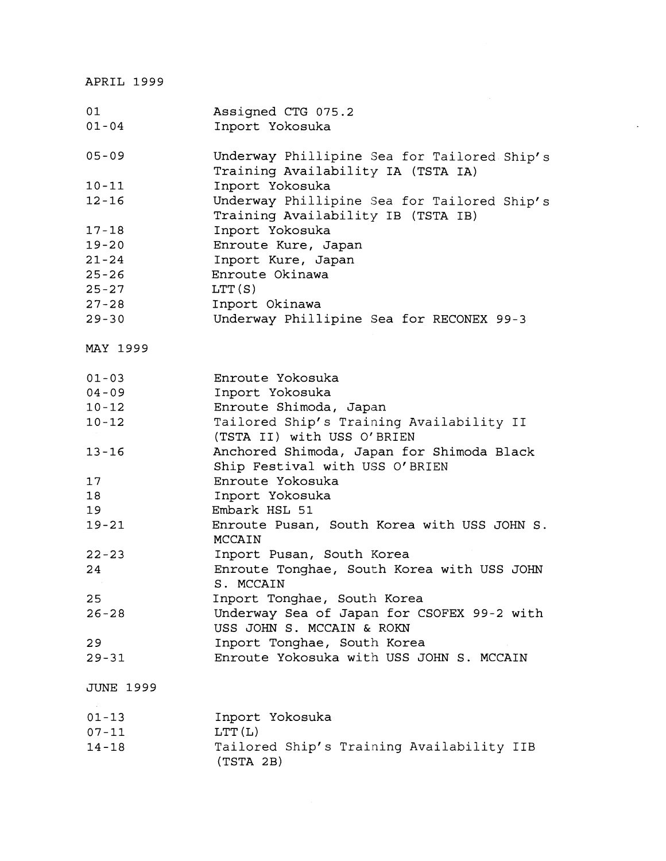APRIL 1999

| 01               | Assigned CTG 075.2                          |
|------------------|---------------------------------------------|
| $01 - 04$        | Inport Yokosuka                             |
|                  |                                             |
| $05 - 09$        | Underway Phillipine Sea for Tailored Ship's |
|                  | Training Availability IA (TSTA IA)          |
| $10 - 11$        | Inport Yokosuka                             |
| $12 - 16$        | Underway Phillipine Sea for Tailored Ship's |
|                  | Training Availability IB (TSTA IB)          |
| $17 - 18$        | Inport Yokosuka                             |
| $19 - 20$        | Enroute Kure, Japan                         |
| $21 - 24$        | Inport Kure, Japan                          |
| $25 - 26$        | Enroute Okinawa                             |
| $25 - 27$        | LTT(S)                                      |
| $27 - 28$        | Inport Okinawa                              |
| $29 - 30$        | Underway Phillipine Sea for RECONEX 99-3    |
|                  |                                             |
|                  |                                             |
| MAY 1999         |                                             |
| $01 - 03$        | Enroute Yokosuka                            |
| $04 - 09$        | Inport Yokosuka                             |
| $10 - 12$        |                                             |
|                  | Enroute Shimoda, Japan                      |
| $10 - 12$        | Tailored Ship's Training Availability II    |
|                  | (TSTA II) with USS O'BRIEN                  |
| $13 - 16$        | Anchored Shimoda, Japan for Shimoda Black   |
|                  | Ship Festival with USS O'BRIEN              |
| 17               | Enroute Yokosuka                            |
| 18               | Inport Yokosuka                             |
| 19               | Embark HSL 51                               |
| $19 - 21$        | Enroute Pusan, South Korea with USS JOHN S. |
|                  | MCCAIN                                      |
| $22 - 23$        | Inport Pusan, South Korea                   |
| 24               | Enroute Tonghae, South Korea with USS JOHN  |
|                  | S. MCCAIN                                   |
| 25               | Inport Tonghae, South Korea                 |
| $26 - 28$        | Underway Sea of Japan for CSOFEX 99-2 with  |
|                  | USS JOHN S. MCCAIN & ROKN                   |
| 29               | Inport Tonghae, South Korea                 |
| $29 - 31$        | Enroute Yokosuka with USS JOHN S. MCCAIN    |
|                  |                                             |
| <b>JUNE 1999</b> |                                             |
|                  |                                             |
| $01 - 13$        | Inport Yokosuka                             |
| $07 - 11$        | LTT(L)                                      |
| $14 - 18$        | Tailored Ship's Training Availability IIB   |
|                  | (TSTA 2B)                                   |

 $\mathcal{L}$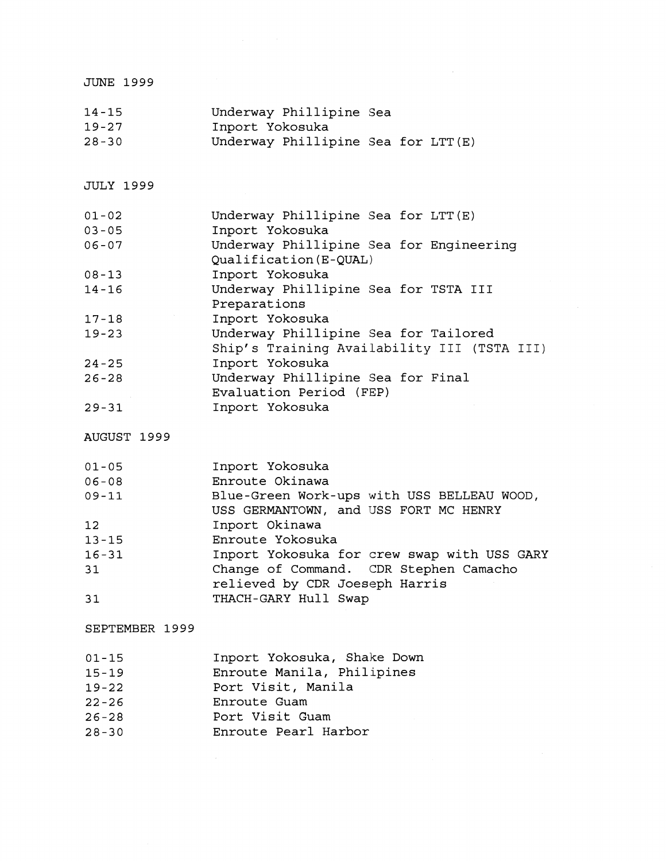| <b>JUNE 1999</b>       |                                                                                     |
|------------------------|-------------------------------------------------------------------------------------|
| $14 - 15$<br>$19 - 27$ | Underway Phillipine Sea<br>Inport Yokosuka                                          |
| $28 - 30$              | Underway Phillipine Sea for LTT(E)                                                  |
| <b>JULY 1999</b>       |                                                                                     |
| $01 - 02$<br>$03 - 05$ | Underway Phillipine Sea for LTT(E)<br>Inport Yokosuka                               |
| $06 - 07$              | Underway Phillipine Sea for Engineering<br>Qualification (E-QUAL)                   |
| $08 - 13$<br>$14 - 16$ | Inport Yokosuka<br>Underway Phillipine Sea for TSTA III                             |
| $17 - 18$              | Preparations<br>Inport Yokosuka                                                     |
| $19 - 23$              | Underway Phillipine Sea for Tailored<br>Ship's Training Availability III (TSTA III) |
| $24 - 25$              | Inport Yokosuka                                                                     |
| $26 - 28$              | Underway Phillipine Sea for Final<br>Evaluation Period (FEP)                        |
| $29 - 31$              | Inport Yokosuka                                                                     |
| AUGUST 1999            |                                                                                     |
| $01 - 05$<br>$06 - 08$ | Inport Yokosuka<br>Enroute Okinawa                                                  |
| $09 - 11$              | Blue-Green Work-ups with USS BELLEAU WOOD,<br>USS GERMANTOWN, and USS FORT MC HENRY |
| 12 <sup>°</sup>        | Inport Okinawa<br>Enroute Yokosuka                                                  |
| $13 - 15$<br>$16 - 31$ | Inport Yokosuka for crew swap with USS GARY                                         |
| 31                     | Change of Command. CDR Stephen Camacho<br>relieved by CDR Joeseph Harris            |
| 31                     | THACH-GARY Hull Swap                                                                |
| SEPTEMBER 1999         |                                                                                     |
| $01 - 15$<br>$15 - 19$ | Inport Yokosuka, Shake Down<br>Enroute Manila, Philipines                           |
| $19 - 22$              | Port Visit, Manila                                                                  |
| $22 - 26$<br>$26 - 28$ | Enroute Guam<br>Port Visit Guam                                                     |
| $28 - 30$              | Enroute Pearl Harbor                                                                |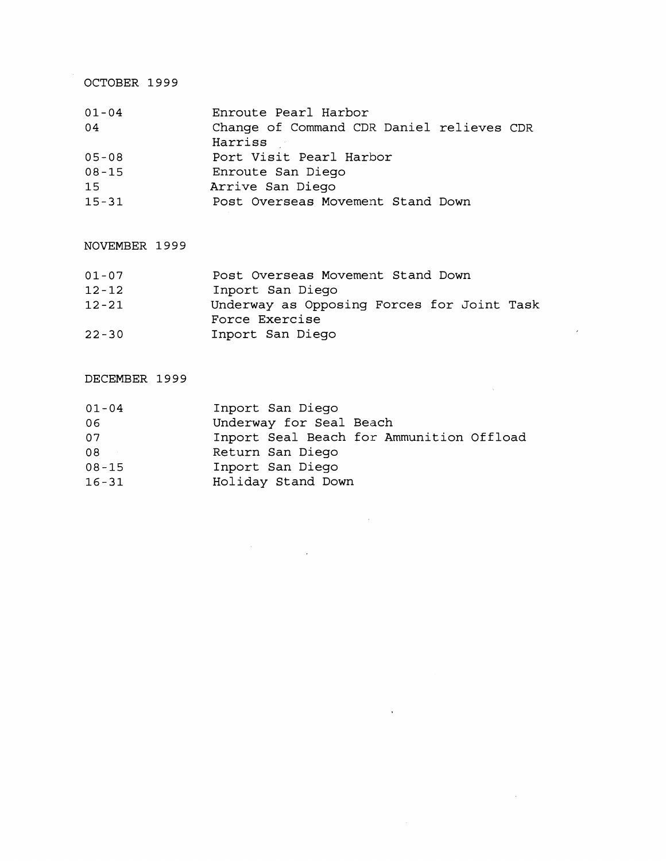OCTOBER 1999

| $01 - 04$ | Enroute Pearl Harbor                      |
|-----------|-------------------------------------------|
| 04        | Change of Command CDR Daniel relieves CDR |
|           | Harriss                                   |
| $05 - 08$ | Port Visit Pearl Harbor                   |
| $08 - 15$ | Enroute San Diego                         |
| 1.5       | Arrive San Diego                          |
| $15 - 31$ | Post Overseas Movement Stand Down         |

NOVEMBER 1999

| $01 - 07$ | Post Overseas Movement Stand Down          |
|-----------|--------------------------------------------|
| $12 - 12$ | Inport San Diego                           |
| $12 - 21$ | Underway as Opposing Forces for Joint Task |
|           | Force Exercise                             |
| $22 - 30$ | Inport San Diego                           |

 $\lambda$ 

 $\sim 10^7$ 

DECEMBER 1999

| $01 - 04$ | Inport San Diego                         |
|-----------|------------------------------------------|
| 06        | Underway for Seal Beach                  |
| 07        | Inport Seal Beach for Ammunition Offload |
| 08        | Return San Diego                         |
| $08 - 15$ | Inport San Diego                         |
| $16 - 31$ | Holiday Stand Down                       |

 $\label{eq:2.1} \frac{1}{2} \sum_{i=1}^n \frac{1}{2} \sum_{j=1}^n \frac{1}{2} \sum_{j=1}^n \frac{1}{2} \sum_{j=1}^n \frac{1}{2} \sum_{j=1}^n \frac{1}{2} \sum_{j=1}^n \frac{1}{2} \sum_{j=1}^n \frac{1}{2} \sum_{j=1}^n \frac{1}{2} \sum_{j=1}^n \frac{1}{2} \sum_{j=1}^n \frac{1}{2} \sum_{j=1}^n \frac{1}{2} \sum_{j=1}^n \frac{1}{2} \sum_{j=1}^n \frac{$ 

 $\mathcal{L}^{\text{max}}_{\text{max}}$  and  $\mathcal{L}^{\text{max}}_{\text{max}}$ 

 $\langle \rangle$  ,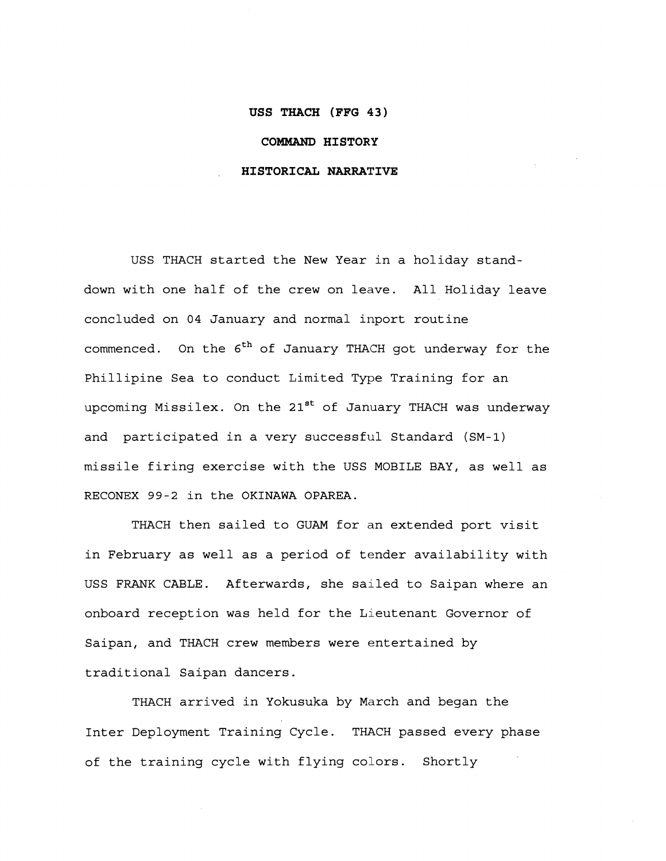#### **USS THACH (FFG 43)**

### **COMMAND HISTORY**

### **HISTORICAL NARRATIVE**

USS THACH started the New Year in a holiday standdown with one half of the crew on leave. All Holiday leave concluded on 04 January and normal inport routine commenced. On the 6<sup>th</sup> of January THACH got underway for the Phillipine Sea to conduct Limited Type Training for an upcoming Missilex. On the 21<sup>st</sup> of January THACH was underway and participated in a very successful Standard (SM-1) missile firing exercise with the USS MOBILE BAY, as well as **RECONEX** 99-2 in **the OKINAWA OPAREA.** 

THACH then sailed to GUAM for an extended port visit in February as well as a period of tender availability with USS FRANK CABLE. Afterwards, she sailed to Saipan where an onboard reception was held for the Lieutenant Governor of Saipan, and THACH crew members were entertained by traditional Saipan dancers.

THACH arrived in Yokusuka by March and began the Inter Deployment Training Cycle. THACH passed every phase of the training cycle with flying colors. Shortly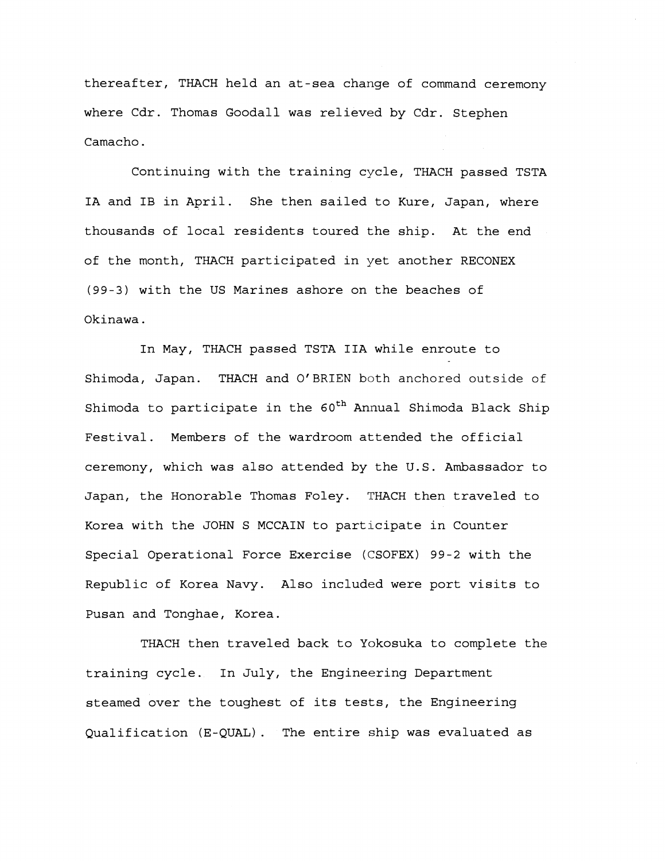thereafter, THACH held an at-sea change of command ceremony where Cdr. Thomas Goodall was relieved by Cdr. Stephen Camacho.

Continuing with the training cycle, THACH passed TSTA IA and IB in April. She then sailed to Kure, Japan, where thousands of local residents toured the ship. At the end of the month, THACH participated in yet another RECONEX (99-3) with the US Marines ashore on the beaches of Okinawa .

In May, THACH passed TSTA IIA while enroute to Shimoda, Japan. THACH and O'BRIEN both anchored outside of Shimoda to participate in the  $60^{th}$  Annual Shimoda Black Ship Festival. Members of the wardroom attended the official ceremony, which was also attended by the U.S. Ambassador to Japan, the Honorable Thomas Foley. THACH then traveled to Korea with the JOHN S MCCAIN to participate in Counter Special Operational Force Exercise (CSOFEX) 99-2 with the Republic of Korea Navy. Also included were port visits to Pusan and Tonghae, Korea.

THACH then traveled back to Yokosuka to complete the training cycle. In July, the Engineering Department steamed over the toughest of its tests, the Engineering Qualification (E-QUAL). The entire ship was evaluated as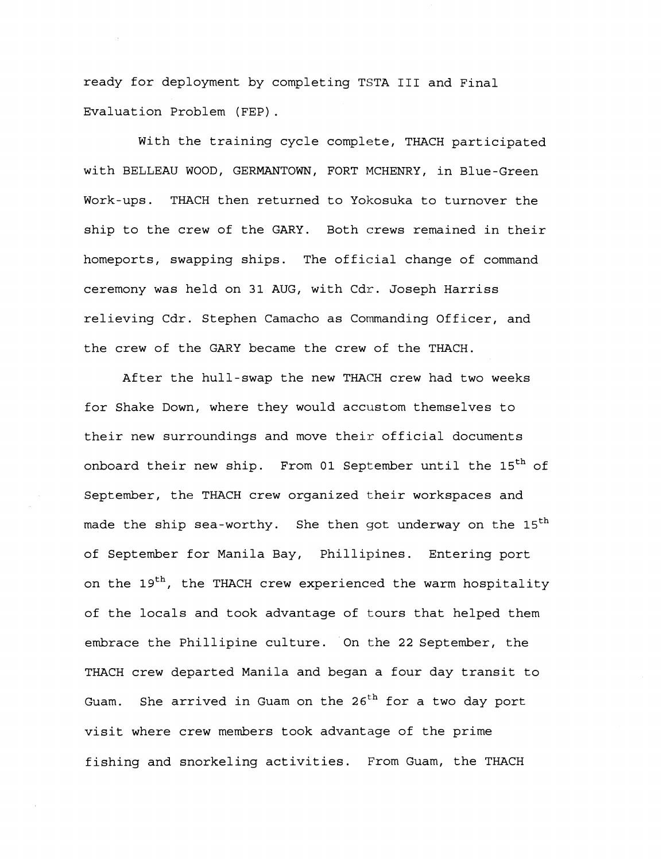ready for deployment by completing TSTA I11 and Final Evaluation Problem (FEP) .

With the training cycle complete, THACH participated with BELLEAU WOOD, GERMANTOWN, FORT MCHENRY, in Blue-Green Work-ups. THACH then returned to Yokosuka to turnover the ship to the crew of the GARY. Both crews remained in their homeports, swapping ships. The official change of command ceremony was held on 31 AUG, with Cdr. Joseph Harriss relieving Cdr. Stephen Camacho as Commanding Officer, and the crew of the GARY became the crew of the THACH.

After the hull-swap the new THACH crew had two weeks for Shake Down, where they would accustom themselves to their new surroundings and move their official documents onboard their new ship. From 01 September until the 15<sup>th</sup> of September, the THACH crew organized their workspaces and made the ship sea-worthy. She then got underway on the  $15<sup>th</sup>$ of September for Manila Bay, Phillipines. Entering port on the 19<sup>th</sup>, the THACH crew experienced the warm hospitality of the locals and took advantage of tours that helped them embrace the Phillipine culture. On the 22 September, the THACH crew departed Manila and began a four day transit to Guam. She arrived in Guam on the **26th** for a two day port visit where crew members took advantage of the prime fishing and snorkeling activities. From Guam, the THACH